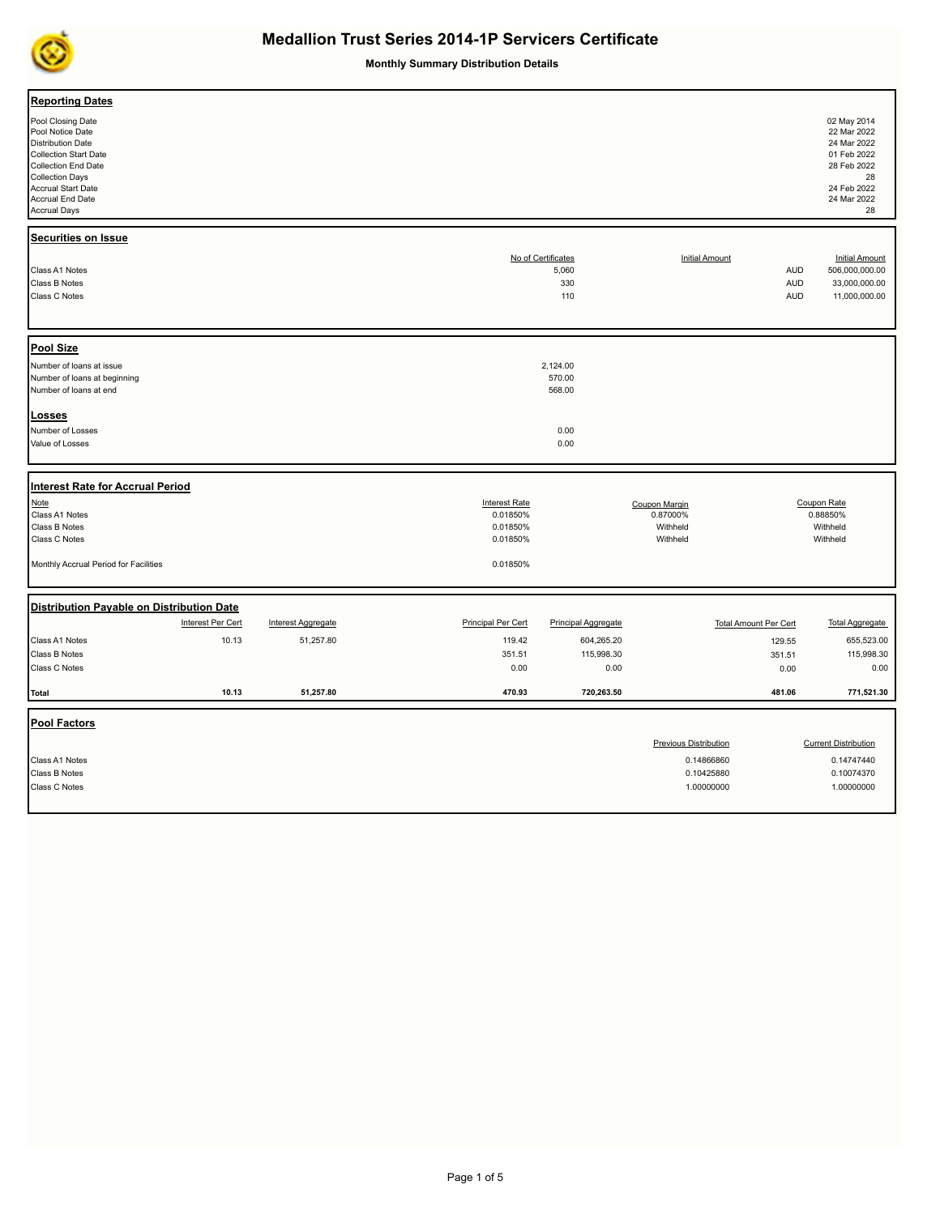

**Monthly Summary Distribution Details**

| Accrual Start Date<br>Accrual End Date<br><b>Accrual Days</b>                                                                                                                          | 28 Feb 2022<br>28<br>24 Feb 2022<br>24 Mar 2022<br>28 |
|----------------------------------------------------------------------------------------------------------------------------------------------------------------------------------------|-------------------------------------------------------|
| <b>Securities on Issue</b><br>No of Certificates<br><b>Initial Amount</b><br>Class A1 Notes<br>5,060<br><b>AUD</b>                                                                     | <b>Initial Amount</b><br>506,000,000.00               |
| Class B Notes<br>330<br><b>AUD</b><br>Class C Notes<br>110<br><b>AUD</b>                                                                                                               | 33,000,000.00<br>11,000,000.00                        |
| <b>Pool Size</b>                                                                                                                                                                       |                                                       |
| Number of loans at issue<br>2,124.00<br>Number of loans at beginning<br>570.00<br>Number of loans at end<br>568.00                                                                     |                                                       |
| Losses                                                                                                                                                                                 |                                                       |
| Number of Losses<br>0.00                                                                                                                                                               |                                                       |
| Value of Losses<br>0.00                                                                                                                                                                |                                                       |
|                                                                                                                                                                                        |                                                       |
| <b>Interest Rate for Accrual Period</b>                                                                                                                                                |                                                       |
|                                                                                                                                                                                        |                                                       |
| Note<br><b>Interest Rate</b><br>Coupon Rate<br>Coupon Margin                                                                                                                           |                                                       |
| Class A1 Notes<br>0.01850%<br>0.87000%<br>0.88850%<br>Class B Notes<br>0.01850%<br>Withheld<br>Withheld                                                                                |                                                       |
| Class C Notes<br>0.01850%<br>Withheld<br>Withheld                                                                                                                                      |                                                       |
| Monthly Accrual Period for Facilities<br>0.01850%                                                                                                                                      |                                                       |
|                                                                                                                                                                                        |                                                       |
| Distribution Payable on Distribution Date<br>Interest Per Cert<br><b>Principal Per Cert</b><br><b>Principal Aggregate</b><br><b>Total Amount Per Cert</b><br><b>Interest Aggregate</b> | <b>Total Aggregate</b>                                |
|                                                                                                                                                                                        |                                                       |
| 10.13<br>Class A1 Notes<br>51,257.80<br>119.42<br>604,265.20<br>129.55<br>Class B Notes<br>351.51<br>115,998.30<br>351.51                                                              | 655,523.00<br>115,998.30                              |
| Class C Notes<br>0.00<br>0.00<br>0.00                                                                                                                                                  | 0.00                                                  |
| 720,263.50<br>10.13<br>51,257.80<br>470.93<br>481.06<br><b>Total</b>                                                                                                                   | 771,521.30                                            |
|                                                                                                                                                                                        |                                                       |
| Pool Factors                                                                                                                                                                           |                                                       |
| <b>Previous Distribution</b>                                                                                                                                                           | <b>Current Distribution</b>                           |
| Class A1 Notes<br>0.14866860                                                                                                                                                           | 0.14747440                                            |
| Class B Notes<br>0.10425880<br>Class C Notes<br>1.00000000                                                                                                                             | 0.10074370<br>1.00000000                              |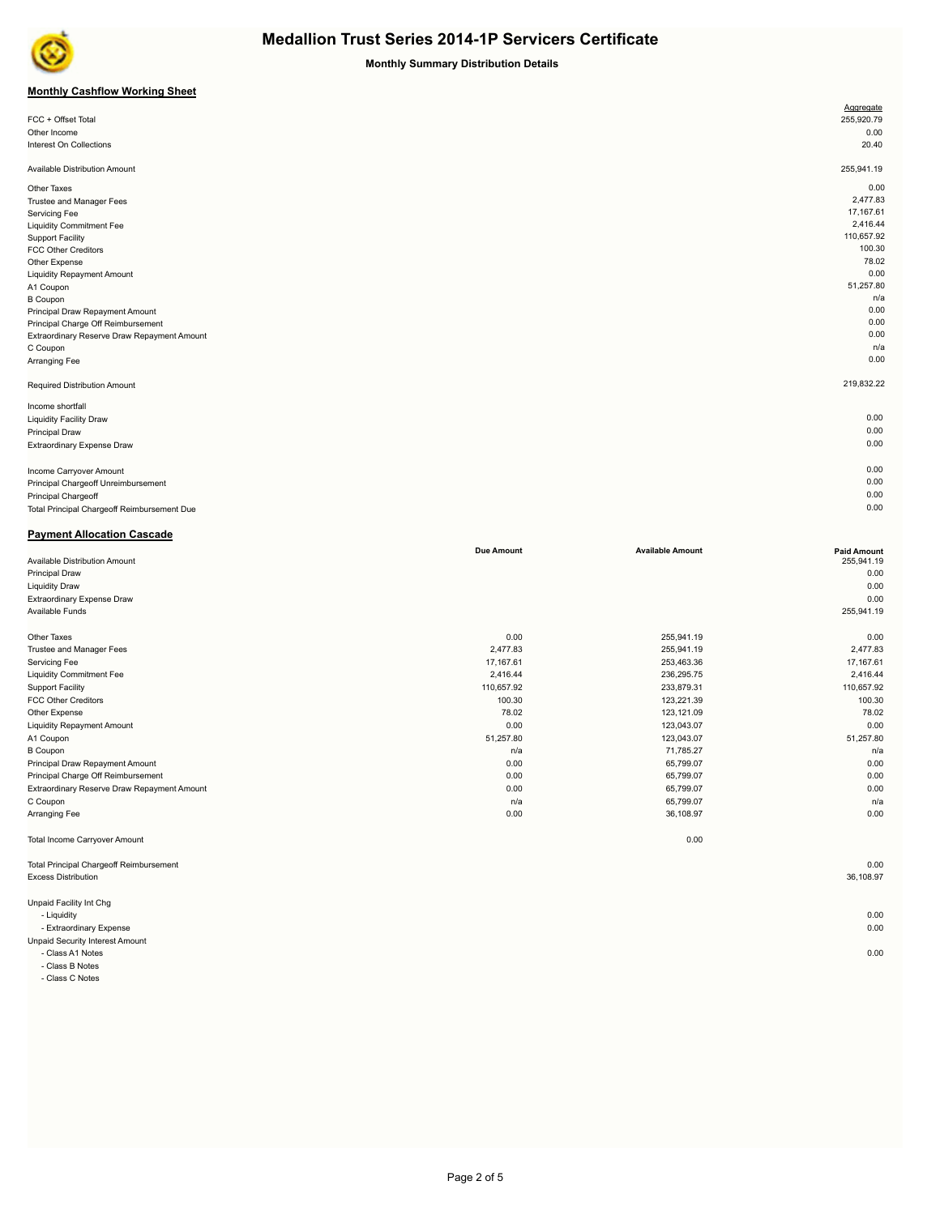

**Monthly Summary Distribution Details**

## **Monthly Cashflow Working Sheet**

|                                             | Aggregate  |
|---------------------------------------------|------------|
| FCC + Offset Total                          | 255,920.79 |
| Other Income                                | 0.00       |
| Interest On Collections                     | 20.40      |
|                                             |            |
| Available Distribution Amount               | 255,941.19 |
| Other Taxes                                 | 0.00       |
| Trustee and Manager Fees                    | 2,477.83   |
| Servicing Fee                               | 17,167.61  |
| <b>Liquidity Commitment Fee</b>             | 2,416.44   |
| <b>Support Facility</b>                     | 110,657.92 |
| <b>FCC Other Creditors</b>                  | 100.30     |
| Other Expense                               | 78.02      |
| <b>Liquidity Repayment Amount</b>           | 0.00       |
| A1 Coupon                                   | 51,257.80  |
| <b>B</b> Coupon                             | n/a        |
| Principal Draw Repayment Amount             | 0.00       |
| Principal Charge Off Reimbursement          | 0.00       |
| Extraordinary Reserve Draw Repayment Amount | 0.00       |
| C Coupon                                    | n/a        |
| Arranging Fee                               | 0.00       |
| Required Distribution Amount                | 219,832.22 |
| Income shortfall                            |            |
| <b>Liquidity Facility Draw</b>              | 0.00       |
| <b>Principal Draw</b>                       | 0.00       |
| Extraordinary Expense Draw                  | 0.00       |
|                                             |            |
| Income Carryover Amount                     | 0.00       |
| Principal Chargeoff Unreimbursement         | 0.00       |
| Principal Chargeoff                         | 0.00       |

Total Principal Chargeoff Reimbursement Due 0.00

| <b>Payment Allocation Cascade</b>              |                   |                         |                    |
|------------------------------------------------|-------------------|-------------------------|--------------------|
|                                                | <b>Due Amount</b> | <b>Available Amount</b> | <b>Paid Amount</b> |
| Available Distribution Amount                  |                   |                         | 255,941.19         |
| Principal Draw                                 |                   |                         | 0.00               |
| <b>Liquidity Draw</b>                          |                   |                         | 0.00               |
| Extraordinary Expense Draw                     |                   |                         | 0.00               |
| Available Funds                                |                   |                         | 255,941.19         |
| Other Taxes                                    | 0.00              | 255,941.19              | 0.00               |
| Trustee and Manager Fees                       | 2,477.83          | 255,941.19              | 2,477.83           |
| Servicing Fee                                  | 17,167.61         | 253,463.36              | 17,167.61          |
| <b>Liquidity Commitment Fee</b>                | 2,416.44          | 236,295.75              | 2,416.44           |
| <b>Support Facility</b>                        | 110,657.92        | 233,879.31              | 110,657.92         |
| <b>FCC Other Creditors</b>                     | 100.30            | 123,221.39              | 100.30             |
| Other Expense                                  | 78.02             | 123,121.09              | 78.02              |
| <b>Liquidity Repayment Amount</b>              | 0.00              | 123,043.07              | 0.00               |
| A1 Coupon                                      | 51,257.80         | 123,043.07              | 51,257.80          |
| <b>B</b> Coupon                                | n/a               | 71,785.27               | n/a                |
| Principal Draw Repayment Amount                | 0.00              | 65,799.07               | 0.00               |
| Principal Charge Off Reimbursement             | 0.00              | 65,799.07               | 0.00               |
| Extraordinary Reserve Draw Repayment Amount    | 0.00              | 65,799.07               | 0.00               |
| C Coupon                                       | n/a               | 65,799.07               | n/a                |
| Arranging Fee                                  | 0.00              | 36,108.97               | 0.00               |
| <b>Total Income Carryover Amount</b>           |                   | 0.00                    |                    |
| <b>Total Principal Chargeoff Reimbursement</b> |                   |                         | 0.00               |
| <b>Excess Distribution</b>                     |                   |                         | 36,108.97          |
| Unpaid Facility Int Chg                        |                   |                         |                    |
| - Liquidity                                    |                   |                         | 0.00               |
| - Extraordinary Expense                        |                   |                         | 0.00               |
| Unpaid Security Interest Amount                |                   |                         |                    |
| - Class A1 Notes                               |                   |                         | 0.00               |

- Class B Notes

- Class C Notes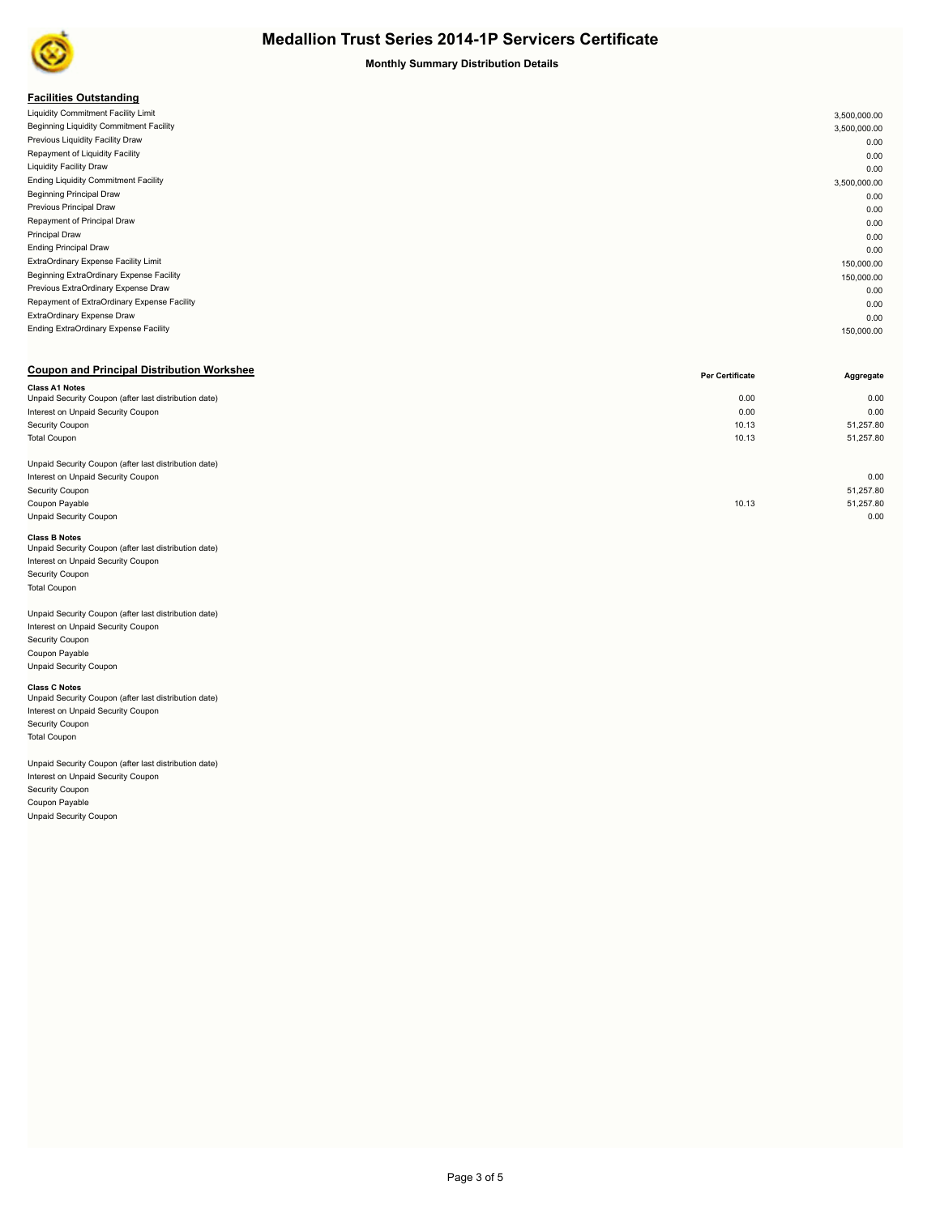

#### **Monthly Summary Distribution Details**

### **Facilities Outstanding**

| . acmacs outstanding                        |              |
|---------------------------------------------|--------------|
| Liquidity Commitment Facility Limit         | 3,500,000.00 |
| Beginning Liquidity Commitment Facility     | 3,500,000.00 |
| Previous Liquidity Facility Draw            | 0.00         |
| Repayment of Liquidity Facility             | 0.00         |
| <b>Liquidity Facility Draw</b>              | 0.00         |
| <b>Ending Liquidity Commitment Facility</b> | 3,500,000.00 |
| <b>Beginning Principal Draw</b>             | 0.00         |
| Previous Principal Draw                     | 0.00         |
| Repayment of Principal Draw                 | 0.00         |
| <b>Principal Draw</b>                       | 0.00         |
| <b>Ending Principal Draw</b>                | 0.00         |
| ExtraOrdinary Expense Facility Limit        | 150,000.00   |
| Beginning ExtraOrdinary Expense Facility    | 150,000.00   |
| Previous ExtraOrdinary Expense Draw         | 0.00         |
| Repayment of ExtraOrdinary Expense Facility | 0.00         |
| ExtraOrdinary Expense Draw                  | 0.00         |
| Ending ExtraOrdinary Expense Facility       | 150,000.00   |
|                                             |              |

### **Coupon and Principal Distribution Workshee**

|                                                       | Per Certificate | Aggregate |
|-------------------------------------------------------|-----------------|-----------|
| <b>Class A1 Notes</b>                                 |                 |           |
| Unpaid Security Coupon (after last distribution date) | 0.00            | 0.00      |
| Interest on Unpaid Security Coupon                    | 0.00            | 0.00      |
| Security Coupon                                       | 10.13           | 51,257.80 |
| <b>Total Coupon</b>                                   | 10.13           | 51,257.80 |
|                                                       |                 |           |
| Unpaid Security Coupon (after last distribution date) |                 |           |
| Interest on Unpaid Security Coupon                    |                 | 0.00      |
| Security Coupon                                       |                 | 51,257.80 |
| Coupon Payable                                        | 10.13           | 51,257.80 |
| <b>Unpaid Security Coupon</b>                         |                 | 0.00      |
|                                                       |                 |           |

#### **Class B Notes**

| Unpaid Security Coupon (after last distribution date) |
|-------------------------------------------------------|
| Interest on Unpaid Security Coupon                    |
| Security Coupon                                       |
| <b>Total Coupon</b>                                   |
|                                                       |

## Unpaid Security Coupon (after last distribution date)

Interest on Unpaid Security Coupon Security Coupon Coupon Payable Unpaid Security Coupon

**Class C Notes**<br>Unpaid Security Coupon (after last distribution date) Interest on Unpaid Security Coupon Security Coupon Total Coupon

Unpaid Security Coupon (after last distribution date) Interest on Unpaid Security Coupon Security Coupon Coupon Payable Unpaid Security Coupon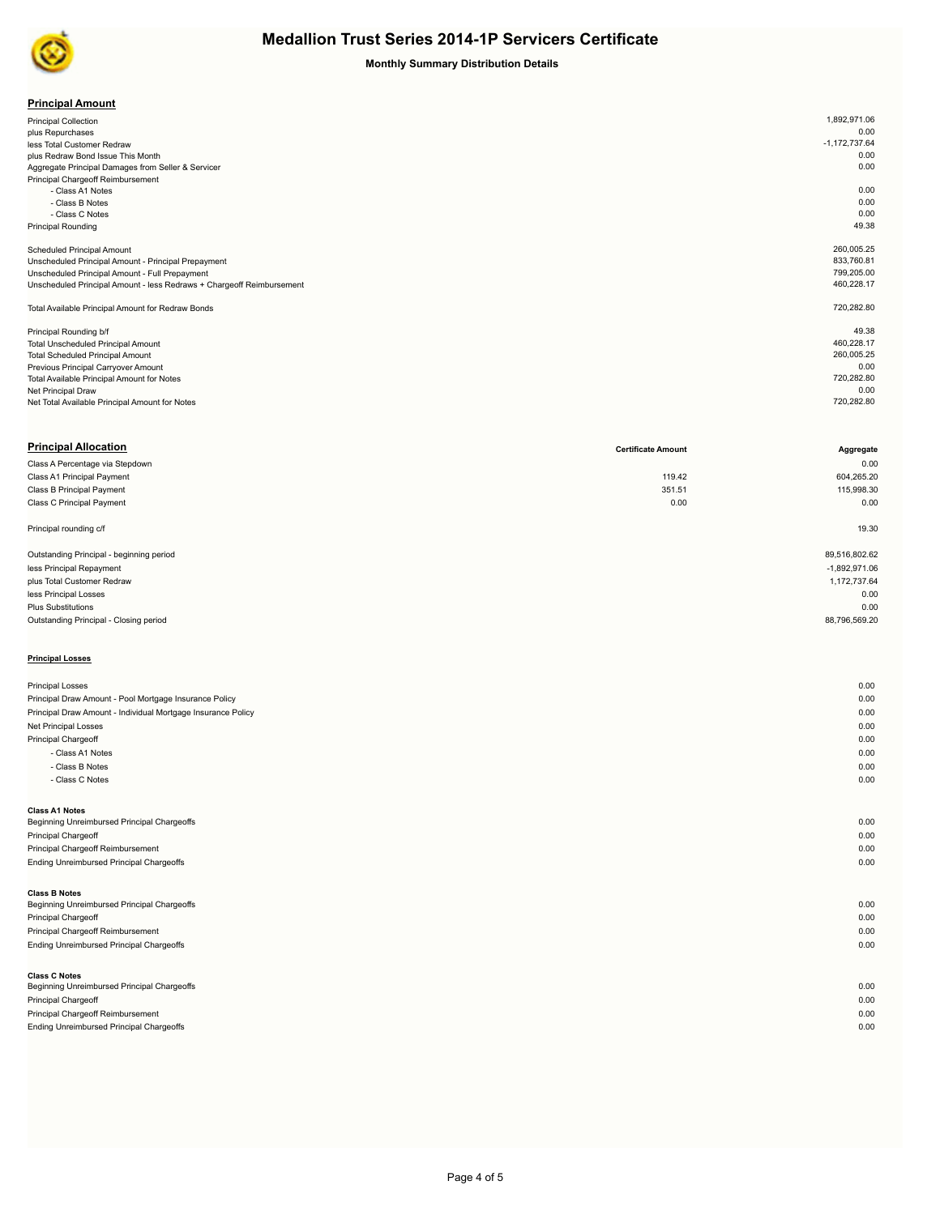

## **Monthly Summary Distribution Details**

| <b>Principal Amount</b> |
|-------------------------|
|-------------------------|

| .                                                                     |                 |
|-----------------------------------------------------------------------|-----------------|
| <b>Principal Collection</b>                                           | 1,892,971.06    |
| plus Repurchases                                                      | 0.00            |
| less Total Customer Redraw                                            | $-1,172,737.64$ |
| plus Redraw Bond Issue This Month                                     | 0.00            |
| Aggregate Principal Damages from Seller & Servicer                    | 0.00            |
| Principal Chargeoff Reimbursement                                     |                 |
| - Class A1 Notes                                                      | 0.00            |
| - Class B Notes                                                       | 0.00            |
| - Class C Notes                                                       | 0.00            |
| <b>Principal Rounding</b>                                             | 49.38           |
|                                                                       |                 |
| <b>Scheduled Principal Amount</b>                                     | 260,005.25      |
| Unscheduled Principal Amount - Principal Prepayment                   | 833,760.81      |
| Unscheduled Principal Amount - Full Prepayment                        | 799,205.00      |
| Unscheduled Principal Amount - less Redraws + Chargeoff Reimbursement | 460,228.17      |
|                                                                       |                 |
| Total Available Principal Amount for Redraw Bonds                     | 720,282.80      |
|                                                                       |                 |
| Principal Rounding b/f                                                | 49.38           |
| <b>Total Unscheduled Principal Amount</b>                             | 460,228.17      |
| <b>Total Scheduled Principal Amount</b>                               | 260,005.25      |
| Previous Principal Carryover Amount                                   | 0.00            |
| Total Available Principal Amount for Notes                            | 720,282.80      |
| Net Principal Draw                                                    | 0.00            |
| Net Total Available Principal Amount for Notes                        | 720,282.80      |
|                                                                       |                 |

| <b>Principal Allocation</b>              | <b>Certificate Amount</b> | Aggregate       |
|------------------------------------------|---------------------------|-----------------|
| Class A Percentage via Stepdown          |                           | 0.00            |
| Class A1 Principal Payment               | 119.42                    | 604,265.20      |
| Class B Principal Payment                | 351.51                    | 115,998.30      |
| Class C Principal Payment                | 0.00                      | 0.00            |
| Principal rounding c/f                   |                           | 19.30           |
| Outstanding Principal - beginning period |                           | 89,516,802.62   |
| less Principal Repayment                 |                           | $-1,892,971.06$ |
| plus Total Customer Redraw               |                           | 1,172,737.64    |
| less Principal Losses                    |                           | 0.00            |
| Plus Substitutions                       |                           | 0.00            |
| Outstanding Principal - Closing period   |                           | 88,796,569.20   |
|                                          |                           |                 |
| <b>Principal Losses</b>                  |                           |                 |

| <b>Principal Losses</b>                                      | 0.00 |
|--------------------------------------------------------------|------|
| Principal Draw Amount - Pool Mortgage Insurance Policy       | 0.00 |
| Principal Draw Amount - Individual Mortgage Insurance Policy | 0.00 |
| Net Principal Losses                                         | 0.00 |
| Principal Chargeoff                                          | 0.00 |
| - Class A1 Notes                                             | 0.00 |
| - Class B Notes                                              | 0.00 |
| - Class C Notes                                              | 0.00 |
|                                                              |      |
| <b>Class A1 Notes</b>                                        |      |
| Beginning Unreimbursed Principal Chargeoffs                  | 0.00 |
| Principal Chargeoff                                          | 0.00 |
| Principal Chargeoff Reimbursement                            | 0.00 |
| Ending Unreimbursed Principal Chargeoffs                     | 0.00 |
|                                                              |      |
| <b>Class B Notes</b>                                         |      |
| Beginning Unreimbursed Principal Chargeoffs                  | 0.00 |
| Principal Chargeoff                                          | 0.00 |
| Principal Chargeoff Reimbursement                            | 0.00 |
| Ending Unreimbursed Principal Chargeoffs                     | 0.00 |
|                                                              |      |
| <b>Class C Notes</b>                                         |      |
| Beginning Unreimbursed Principal Chargeoffs                  | 0.00 |
| Principal Chargeoff                                          | 0.00 |
| Principal Chargeoff Reimbursement                            | 0.00 |
| Ending Unreimbursed Principal Chargeoffs                     | 0.00 |
|                                                              |      |